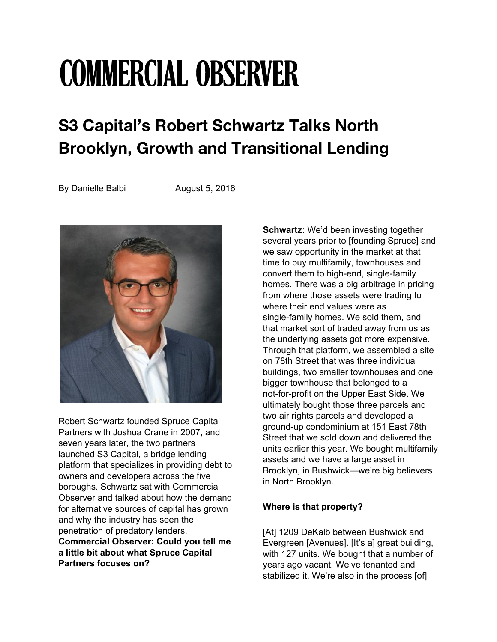# **COMMERCIAL OBSERVER**

# **S3 Capital's Robert Schwartz Talks North Brooklyn, Growth and Transitional Lending**

By Danielle Balbi **August 5, 2016** 



Robert Schwartz founded Spruce Capital Partners with Joshua Crane in 2007, and seven years later, the two partners launched S3 Capital, a bridge lending platform that specializes in providing debt to owners and developers across the five boroughs. Schwartz sat with Commercial Observer and talked about how the demand for alternative sources of capital has grown and why the industry has seen the penetration of predatory lenders. **Commercial Observer: Could you tell me a little bit about what Spruce Capital Partners focuses on?**

**Schwartz:** We'd been investing together several years prior to [founding Spruce] and we saw opportunity in the market at that time to buy multifamily, townhouses and convert them to high-end, single-family homes. There was a big arbitrage in pricing from where those assets were trading to where their end values were as single-family homes. We sold them, and that market sort of traded away from us as the underlying assets got more expensive. Through that platform, we assembled a site on 78th Street that was three individual buildings, two smaller townhouses and one bigger townhouse that belonged to a not-for-profit on the Upper East Side. We ultimately bought those three parcels and two air rights parcels and developed a ground-up condominium at 151 East 78th Street that we sold down and delivered the units earlier this year. We bought multifamily assets and we have a large asset in Brooklyn, in Bushwick—we're big believers in North Brooklyn.

## **Where is that property?**

[At] 1209 DeKalb between Bushwick and Evergreen [Avenues]. [It's a] great building, with 127 units. We bought that a number of years ago vacant. We've tenanted and stabilized it. We're also in the process [of]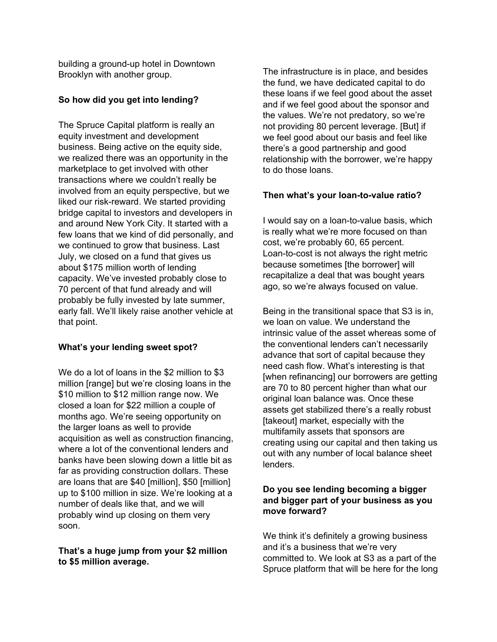building a ground-up hotel in Downtown Brooklyn with another group.

#### **So how did you get into lending?**

The Spruce Capital platform is really an equity investment and development business. Being active on the equity side, we realized there was an opportunity in the marketplace to get involved with other transactions where we couldn't really be involved from an equity perspective, but we liked our risk-reward. We started providing bridge capital to investors and developers in and around New York City. It started with a few loans that we kind of did personally, and we continued to grow that business. Last July, we closed on a fund that gives us about \$175 million worth of lending capacity. We've invested probably close to 70 percent of that fund already and will probably be fully invested by late summer, early fall. We'll likely raise another vehicle at that point.

#### **What's your lending sweet spot?**

We do a lot of loans in the \$2 million to \$3 million [range] but we're closing loans in the \$10 million to \$12 million range now. We closed a loan for \$22 million a couple of months ago. We're seeing opportunity on the larger loans as well to provide acquisition as well as construction financing, where a lot of the conventional lenders and banks have been slowing down a little bit as far as providing construction dollars. These are loans that are \$40 [million], \$50 [million] up to \$100 million in size. We're looking at a number of deals like that, and we will probably wind up closing on them very soon.

#### **That's a huge jump from your \$2 million to \$5 million average.**

The infrastructure is in place, and besides the fund, we have dedicated capital to do these loans if we feel good about the asset and if we feel good about the sponsor and the values. We're not predatory, so we're not providing 80 percent leverage. [But] if we feel good about our basis and feel like there's a good partnership and good relationship with the borrower, we're happy to do those loans.

### **Then what's your loan-to-value ratio?**

I would say on a loan-to-value basis, which is really what we're more focused on than cost, we're probably 60, 65 percent. Loan-to-cost is not always the right metric because sometimes [the borrower] will recapitalize a deal that was bought years ago, so we're always focused on value.

Being in the transitional space that S3 is in, we loan on value. We understand the intrinsic value of the asset whereas some of the conventional lenders can't necessarily advance that sort of capital because they need cash flow. What's interesting is that [when refinancing] our borrowers are getting are 70 to 80 percent higher than what our original loan balance was. Once these assets get stabilized there's a really robust [takeout] market, especially with the multifamily assets that sponsors are creating using our capital and then taking us out with any number of local balance sheet lenders.

#### **Do you see lending becoming a bigger and bigger part of your business as you move forward?**

We think it's definitely a growing business and it's a business that we're very committed to. We look at S3 as a part of the Spruce platform that will be here for the long